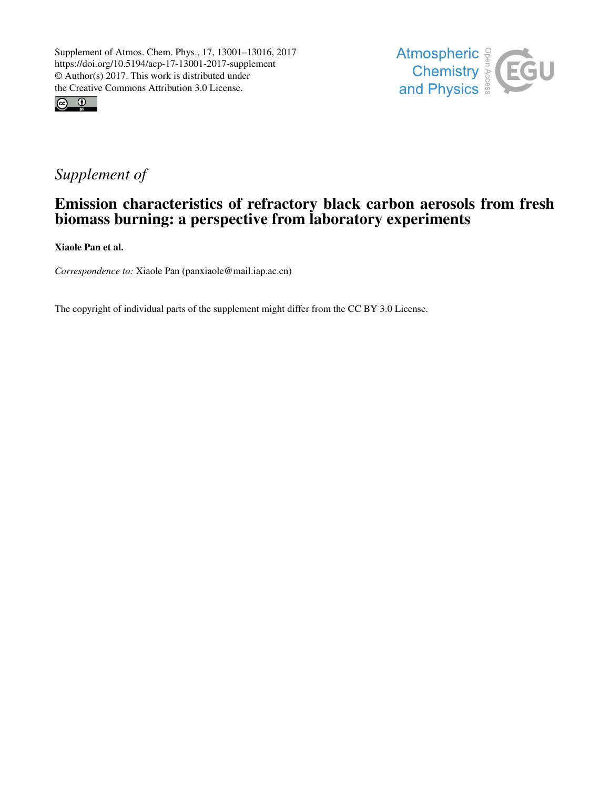



## *Supplement of*

## Emission characteristics of refractory black carbon aerosols from fresh biomass burning: a perspective from laboratory experiments

Xiaole Pan et al.

*Correspondence to:* Xiaole Pan (panxiaole@mail.iap.ac.cn)

The copyright of individual parts of the supplement might differ from the CC BY 3.0 License.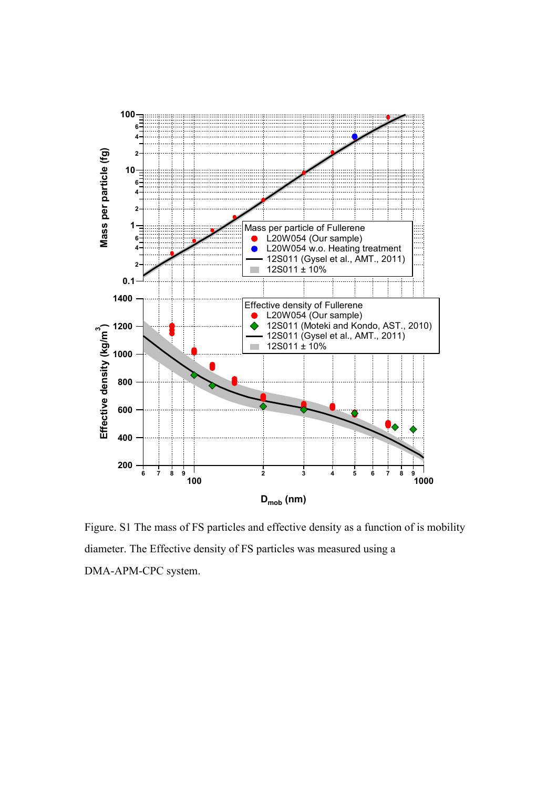

Figure. S1 The mass of FS particles and effective density as a function of is mobility diameter. The Effective density of FS particles was measured using a DMA-APM-CPC system.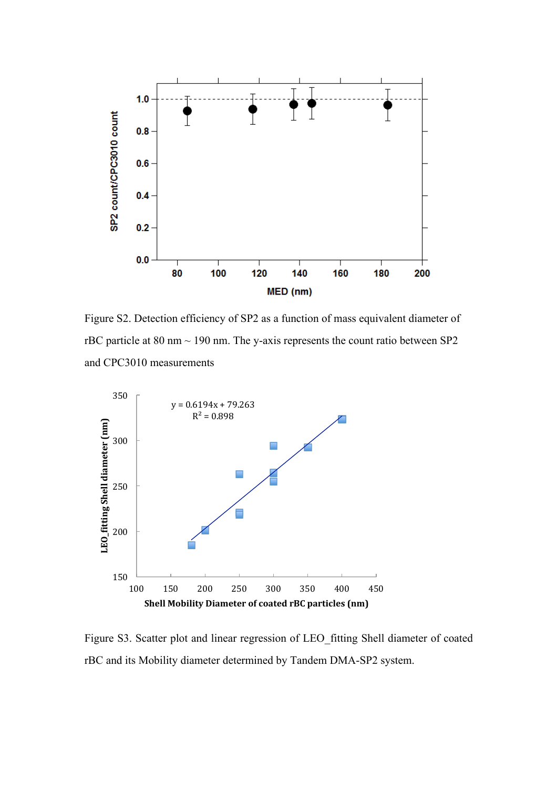

Figure S2. Detection efficiency of SP2 as a function of mass equivalent diameter of rBC particle at  $80 \text{ nm} \sim 190 \text{ nm}$ . The y-axis represents the count ratio between SP2 and CPC3010 measurements



Figure S3. Scatter plot and linear regression of LEO\_fitting Shell diameter of coated rBC and its Mobility diameter determined by Tandem DMA-SP2 system.